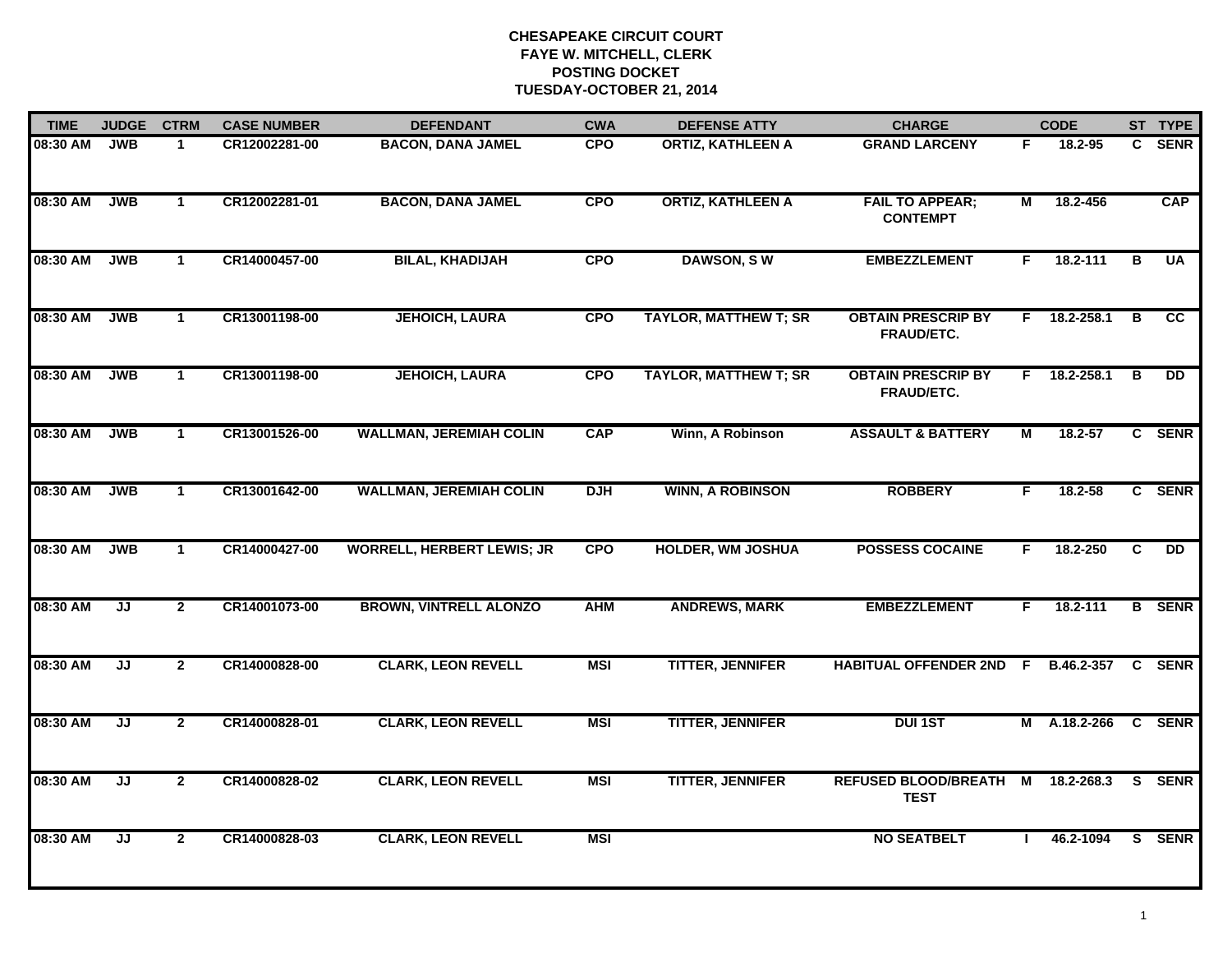| <b>TIME</b> | <b>JUDGE</b> | <b>CTRM</b>    | <b>CASE NUMBER</b> | <b>DEFENDANT</b>                  | <b>CWA</b> | <b>DEFENSE ATTY</b>          | <b>CHARGE</b>                              | <b>CODE</b>    |              |   | ST TYPE        |
|-------------|--------------|----------------|--------------------|-----------------------------------|------------|------------------------------|--------------------------------------------|----------------|--------------|---|----------------|
| 08:30 AM    | <b>JWB</b>   | $\mathbf 1$    | CR12002281-00      | <b>BACON, DANA JAMEL</b>          | <b>CPO</b> | <b>ORTIZ, KATHLEEN A</b>     | <b>GRAND LARCENY</b>                       | F.             | 18.2-95      | C | <b>SENR</b>    |
| 08:30 AM    | <b>JWB</b>   | $\mathbf{1}$   | CR12002281-01      | <b>BACON, DANA JAMEL</b>          | <b>CPO</b> | <b>ORTIZ, KATHLEEN A</b>     | <b>FAIL TO APPEAR;</b><br><b>CONTEMPT</b>  | М              | 18.2-456     |   | <b>CAP</b>     |
| 08:30 AM    | <b>JWB</b>   | $\mathbf{1}$   | CR14000457-00      | <b>BILAL, KHADIJAH</b>            | <b>CPO</b> | <b>DAWSON, SW</b>            | <b>EMBEZZLEMENT</b>                        | F.             | 18.2-111     | В | <b>UA</b>      |
| 08:30 AM    | <b>JWB</b>   | 1              | CR13001198-00      | <b>JEHOICH, LAURA</b>             | <b>CPO</b> | <b>TAYLOR, MATTHEW T; SR</b> | <b>OBTAIN PRESCRIP BY</b><br>FRAUD/ETC.    | F.             | 18.2-258.1   | в | <b>CC</b>      |
| 08:30 AM    | <b>JWB</b>   | $\mathbf{1}$   | CR13001198-00      | <b>JEHOICH, LAURA</b>             | <b>CPO</b> | <b>TAYLOR, MATTHEW T; SR</b> | <b>OBTAIN PRESCRIP BY</b><br>FRAUD/ETC.    | F.             | 18.2-258.1   | В | <b>DD</b>      |
| 08:30 AM    | <b>JWB</b>   | $\mathbf 1$    | CR13001526-00      | <b>WALLMAN, JEREMIAH COLIN</b>    | <b>CAP</b> | Winn, A Robinson             | <b>ASSAULT &amp; BATTERY</b>               | М              | 18.2-57      |   | C SENR         |
| 08:30 AM    | <b>JWB</b>   | $\mathbf{1}$   | CR13001642-00      | <b>WALLMAN, JEREMIAH COLIN</b>    | <b>DJH</b> | <b>WINN, A ROBINSON</b>      | <b>ROBBERY</b>                             | F              | 18.2-58      |   | C SENR         |
| 08:30 AM    | <b>JWB</b>   | $\mathbf{1}$   | CR14000427-00      | <b>WORRELL, HERBERT LEWIS; JR</b> | <b>CPO</b> | <b>HOLDER, WM JOSHUA</b>     | <b>POSSESS COCAINE</b>                     | F.             | 18.2-250     | C | $\overline{D}$ |
| 08:30 AM    | JJ           | $\mathbf{2}$   | CR14001073-00      | <b>BROWN, VINTRELL ALONZO</b>     | <b>AHM</b> | <b>ANDREWS, MARK</b>         | <b>EMBEZZLEMENT</b>                        | F.             | 18.2-111     |   | <b>B</b> SENR  |
| 08:30 AM    | JJ           | $\mathbf{2}$   | CR14000828-00      | <b>CLARK, LEON REVELL</b>         | <b>MSI</b> | <b>TITTER, JENNIFER</b>      | <b>HABITUAL OFFENDER 2ND F</b>             |                | B.46.2-357   |   | C SENR         |
| 08:30 AM    | JJ           | $\mathbf{2}$   | CR14000828-01      | <b>CLARK, LEON REVELL</b>         | <b>MSI</b> | <b>TITTER, JENNIFER</b>      | <b>DUI 1ST</b>                             |                | M A.18.2-266 |   | <b>C</b> SENR  |
| 08:30 AM    | JJ           | $\overline{2}$ | CR14000828-02      | <b>CLARK, LEON REVELL</b>         | <b>MSI</b> | <b>TITTER, JENNIFER</b>      | <b>REFUSED BLOOD/BREATH</b><br><b>TEST</b> | $\overline{M}$ | 18.2-268.3   |   | S SENR         |
| 08:30 AM    | JJ           | $\mathbf{2}$   | CR14000828-03      | <b>CLARK, LEON REVELL</b>         | <b>MSI</b> |                              | <b>NO SEATBELT</b>                         | л.             | 46.2-1094    |   | S SENR         |
|             |              |                |                    |                                   |            |                              |                                            |                |              |   |                |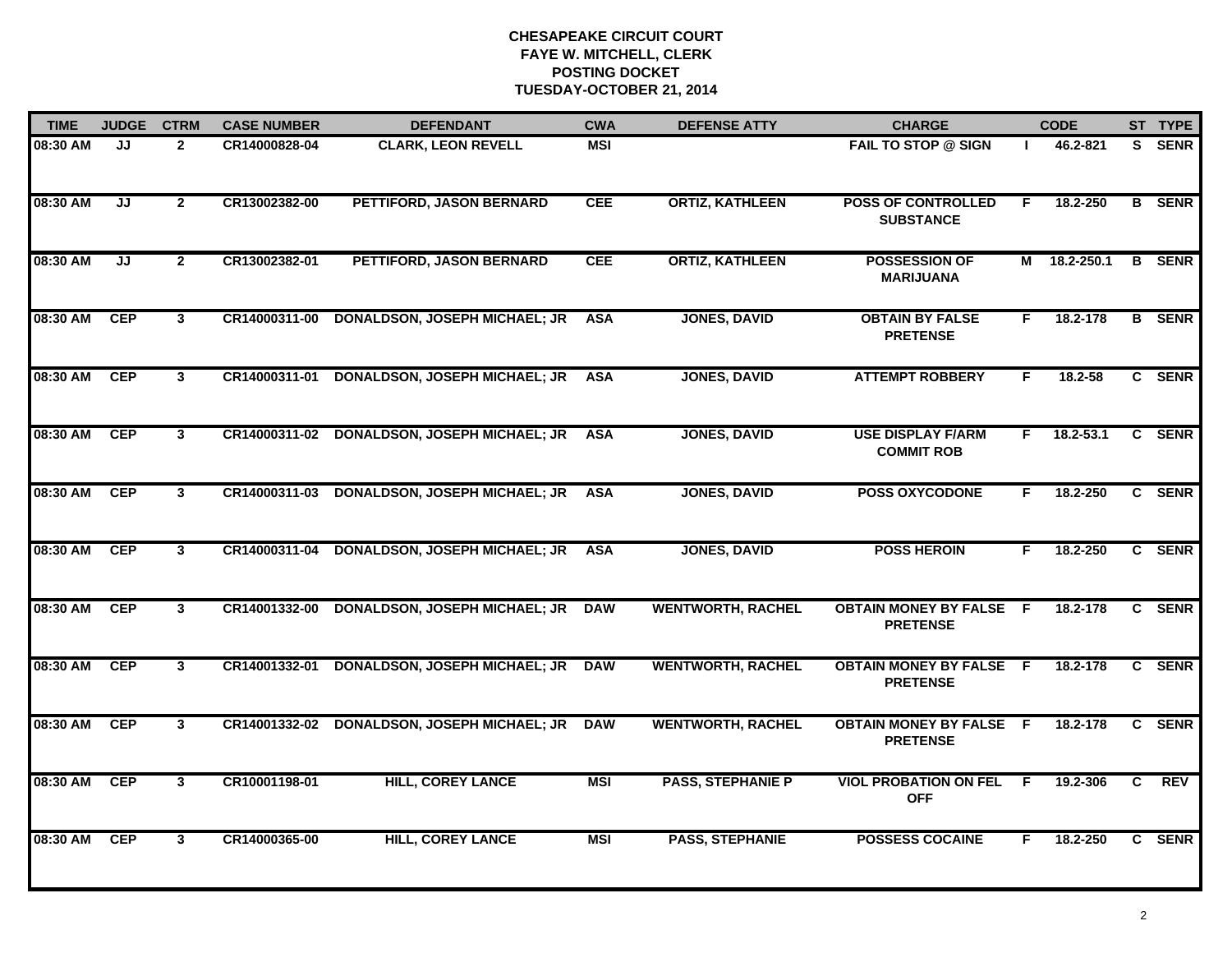| <b>TIME</b> | <b>JUDGE</b> | <b>CTRM</b>  | <b>CASE NUMBER</b> | <b>DEFENDANT</b>                                | <b>CWA</b> | <b>DEFENSE ATTY</b>      | <b>CHARGE</b>                                     | <b>CODE</b>    |               |                | ST TYPE       |
|-------------|--------------|--------------|--------------------|-------------------------------------------------|------------|--------------------------|---------------------------------------------------|----------------|---------------|----------------|---------------|
| 08:30 AM    | JJ           | $\mathbf{2}$ | CR14000828-04      | <b>CLARK, LEON REVELL</b>                       | <b>MSI</b> |                          | <b>FAIL TO STOP @ SIGN</b>                        |                | 46.2-821      | S.             | <b>SENR</b>   |
| 08:30 AM    | JJ           | $\mathbf{2}$ | CR13002382-00      | PETTIFORD, JASON BERNARD                        | <b>CEE</b> | <b>ORTIZ, KATHLEEN</b>   | <b>POSS OF CONTROLLED</b><br><b>SUBSTANCE</b>     | F.             | 18.2-250      |                | <b>B</b> SENR |
| 08:30 AM    | JJ           | $\mathbf{2}$ | CR13002382-01      | PETTIFORD, JASON BERNARD                        | <b>CEE</b> | <b>ORTIZ, KATHLEEN</b>   | <b>POSSESSION OF</b><br><b>MARIJUANA</b>          |                | M 18.2-250.1  |                | <b>B</b> SENR |
| 08:30 AM    | <b>CEP</b>   | 3            | CR14000311-00      | <b>DONALDSON, JOSEPH MICHAEL; JR</b>            | <b>ASA</b> | <b>JONES, DAVID</b>      | <b>OBTAIN BY FALSE</b><br><b>PRETENSE</b>         | F.             | 18.2-178      |                | <b>B</b> SENR |
| 08:30 AM    | <b>CEP</b>   | $\mathbf{3}$ | CR14000311-01      | <b>DONALDSON, JOSEPH MICHAEL; JR</b>            | <b>ASA</b> | <b>JONES, DAVID</b>      | <b>ATTEMPT ROBBERY</b>                            | F.             | $18.2 - 58$   |                | C SENR        |
| 08:30 AM    | <b>CEP</b>   | $\mathbf{3}$ |                    | CR14000311-02 DONALDSON, JOSEPH MICHAEL; JR ASA |            | <b>JONES, DAVID</b>      | <b>USE DISPLAY F/ARM</b><br><b>COMMIT ROB</b>     | F.             | $18.2 - 53.1$ |                | C SENR        |
| 08:30 AM    | CEP          | $\mathbf{3}$ | CR14000311-03      | <b>DONALDSON, JOSEPH MICHAEL; JR</b>            | <b>ASA</b> | <b>JONES, DAVID</b>      | <b>POSS OXYCODONE</b>                             | F.             | 18.2-250      |                | C SENR        |
| 08:30 AM    | <b>CEP</b>   | 3            | CR14000311-04      | <b>DONALDSON, JOSEPH MICHAEL; JR</b>            | <b>ASA</b> | <b>JONES, DAVID</b>      | <b>POSS HEROIN</b>                                | F.             | 18.2-250      |                | C SENR        |
| 08:30 AM    | <b>CEP</b>   | 3            | CR14001332-00      | <b>DONALDSON, JOSEPH MICHAEL; JR</b>            | <b>DAW</b> | <b>WENTWORTH, RACHEL</b> | <b>OBTAIN MONEY BY FALSE F</b><br><b>PRETENSE</b> |                | 18.2-178      |                | C SENR        |
| 08:30 AM    | <b>CEP</b>   | $\mathbf{3}$ | CR14001332-01      | <b>DONALDSON, JOSEPH MICHAEL; JR</b>            | <b>DAW</b> | <b>WENTWORTH, RACHEL</b> | <b>OBTAIN MONEY BY FALSE F</b><br><b>PRETENSE</b> |                | 18.2-178      |                | C SENR        |
| 08:30 AM    | <b>CEP</b>   | $\mathbf{3}$ |                    | CR14001332-02 DONALDSON, JOSEPH MICHAEL; JR     | <b>DAW</b> | <b>WENTWORTH, RACHEL</b> | <b>OBTAIN MONEY BY FALSE F</b><br><b>PRETENSE</b> |                | 18.2-178      |                | C SENR        |
| 08:30 AM    | <b>CEP</b>   | $\mathbf{3}$ | CR10001198-01      | <b>HILL, COREY LANCE</b>                        | <b>MSI</b> | <b>PASS, STEPHANIE P</b> | <b>VIOL PROBATION ON FEL</b><br><b>OFF</b>        | $\overline{F}$ | 19.2-306      | $\overline{c}$ | <b>REV</b>    |
| 08:30 AM    | <b>CEP</b>   | 3            | CR14000365-00      | <b>HILL, COREY LANCE</b>                        | <b>MSI</b> | <b>PASS, STEPHANIE</b>   | <b>POSSESS COCAINE</b>                            | F.             | 18.2-250      |                | C SENR        |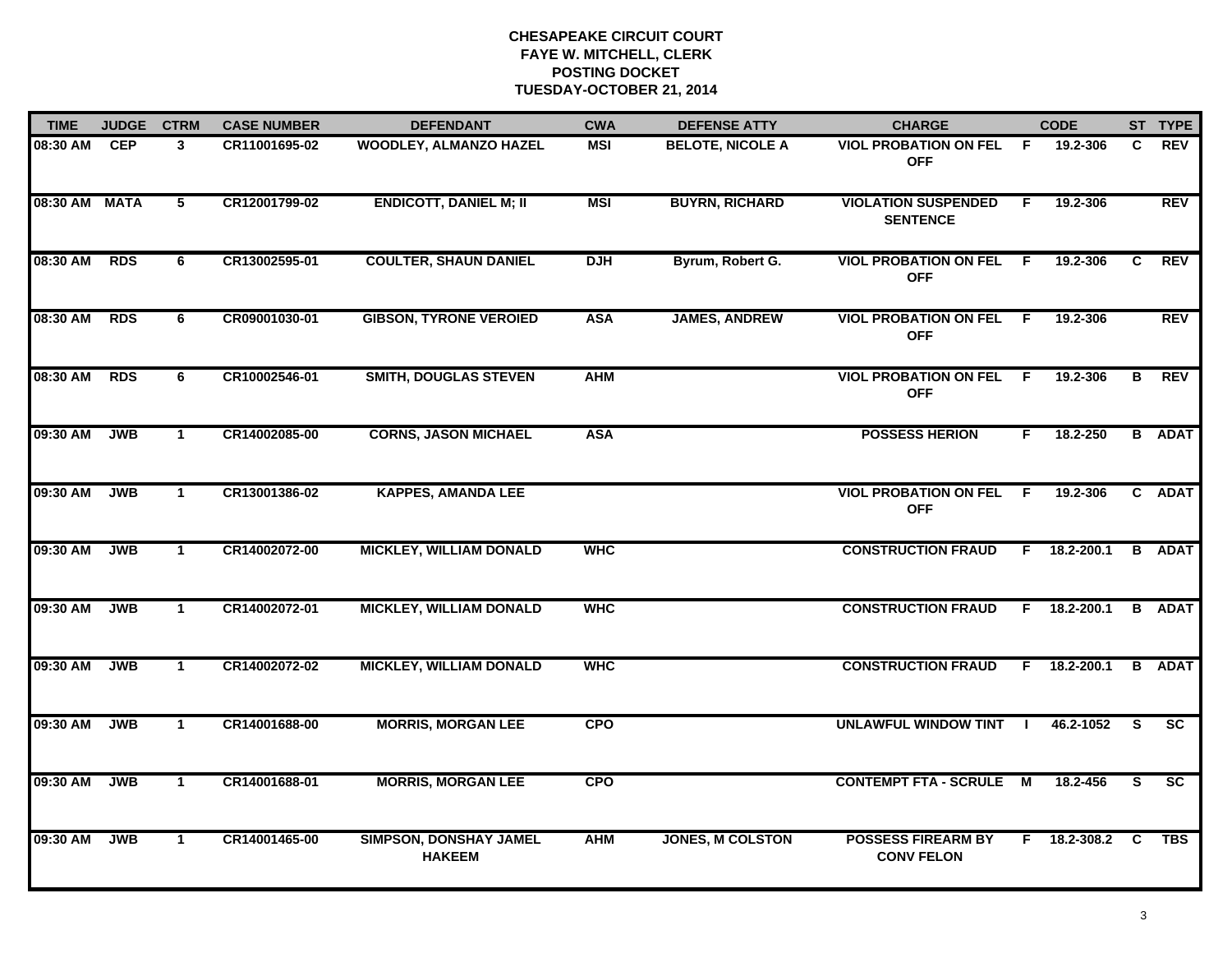| <b>TIME</b>   | <b>JUDGE</b> | <b>CTRM</b>  | <b>CASE NUMBER</b> | <b>DEFENDANT</b>                               | <b>CWA</b>                                                                         | <b>DEFENSE ATTY</b>     | <b>CHARGE</b>                                  |          | <b>CODE</b>    |            | ST TYPE                  |
|---------------|--------------|--------------|--------------------|------------------------------------------------|------------------------------------------------------------------------------------|-------------------------|------------------------------------------------|----------|----------------|------------|--------------------------|
| 08:30 AM      | <b>CEP</b>   | $\mathbf{3}$ | CR11001695-02      | <b>WOODLEY, ALMANZO HAZEL</b>                  | MSI                                                                                | <b>BELOTE, NICOLE A</b> | <b>VIOL PROBATION ON FEL F</b><br><b>OFF</b>   |          | 19.2-306       | C          | <b>REV</b>               |
| 08:30 AM MATA |              | 5            | CR12001799-02      | <b>ENDICOTT, DANIEL M; II</b>                  | <b>MSI</b>                                                                         | <b>BUYRN, RICHARD</b>   | <b>VIOLATION SUSPENDED</b><br><b>SENTENCE</b>  | F.       | 19.2-306       |            | <b>REV</b>               |
| 08:30 AM      | <b>RDS</b>   | 6            | CR13002595-01      | <b>COULTER, SHAUN DANIEL</b>                   | <b>DJH</b>                                                                         | Byrum, Robert G.        | <b>VIOL PROBATION ON FEL F</b><br><b>OFF</b>   |          | 19.2-306       | C          | <b>REV</b>               |
| 08:30 AM      | <b>RDS</b>   | 6            | CR09001030-01      | <b>GIBSON, TYRONE VEROIED</b>                  | <b>ASA</b><br><b>JAMES, ANDREW</b><br><b>VIOL PROBATION ON FEL F</b><br><b>OFF</b> |                         |                                                | 19.2-306 |                | <b>REV</b> |                          |
| 08:30 AM      | <b>RDS</b>   | 6            | CR10002546-01      | <b>SMITH, DOUGLAS STEVEN</b>                   | <b>AHM</b>                                                                         |                         | <b>VIOL PROBATION ON FEL</b><br><b>OFF</b>     | - F      | 19.2-306       | B          | <b>REV</b>               |
| 09:30 AM      | <b>JWB</b>   | $\mathbf{1}$ | CR14002085-00      | <b>CORNS, JASON MICHAEL</b>                    | <b>ASA</b>                                                                         |                         | <b>POSSESS HERION</b>                          | F.       | 18.2-250       |            | <b>B</b> ADAT            |
| 09:30 AM      | <b>JWB</b>   | $\mathbf{1}$ | CR13001386-02      | <b>KAPPES, AMANDA LEE</b>                      |                                                                                    |                         | <b>VIOL PROBATION ON FEL F</b><br><b>OFF</b>   |          | 19.2-306       |            | C ADAT                   |
| 09:30 AM      | JWB          | $\mathbf{1}$ | CR14002072-00      | <b>MICKLEY, WILLIAM DONALD</b>                 | <b>WHC</b>                                                                         |                         | <b>CONSTRUCTION FRAUD</b>                      |          | $F$ 18.2-200.1 |            | <b>B</b> ADAT            |
| 09:30 AM      | <b>JWB</b>   | $\mathbf 1$  | CR14002072-01      | <b>MICKLEY, WILLIAM DONALD</b>                 | <b>WHC</b>                                                                         |                         | <b>CONSTRUCTION FRAUD</b>                      |          | $F$ 18.2-200.1 |            | <b>B</b> ADAT            |
| 09:30 AM      | <b>JWB</b>   | $\mathbf 1$  | CR14002072-02      | <b>MICKLEY, WILLIAM DONALD</b>                 | <b>WHC</b>                                                                         |                         | <b>CONSTRUCTION FRAUD</b>                      |          | $F$ 18.2-200.1 |            | <b>B</b> ADAT            |
| 09:30 AM      | <b>JWB</b>   | $\mathbf 1$  | CR14001688-00      | <b>MORRIS, MORGAN LEE</b>                      | <b>CPO</b>                                                                         |                         | UNLAWFUL WINDOW TINT I                         |          | 46.2-1052      | -S         | <b>SC</b>                |
| 09:30 AM      | <b>JWB</b>   | $\mathbf{1}$ | CR14001688-01      | <b>MORRIS, MORGAN LEE</b>                      | <b>CPO</b>                                                                         |                         | <b>CONTEMPT FTA - SCRULE M</b>                 |          | 18.2-456       | <b>S</b>   | $\overline{\mathsf{sc}}$ |
| 09:30 AM      | <b>JWB</b>   | $\mathbf{1}$ | CR14001465-00      | <b>SIMPSON, DONSHAY JAMEL</b><br><b>HAKEEM</b> | <b>AHM</b>                                                                         | <b>JONES, M COLSTON</b> | <b>POSSESS FIREARM BY</b><br><b>CONV FELON</b> |          | F 18.2-308.2 C |            | TBS                      |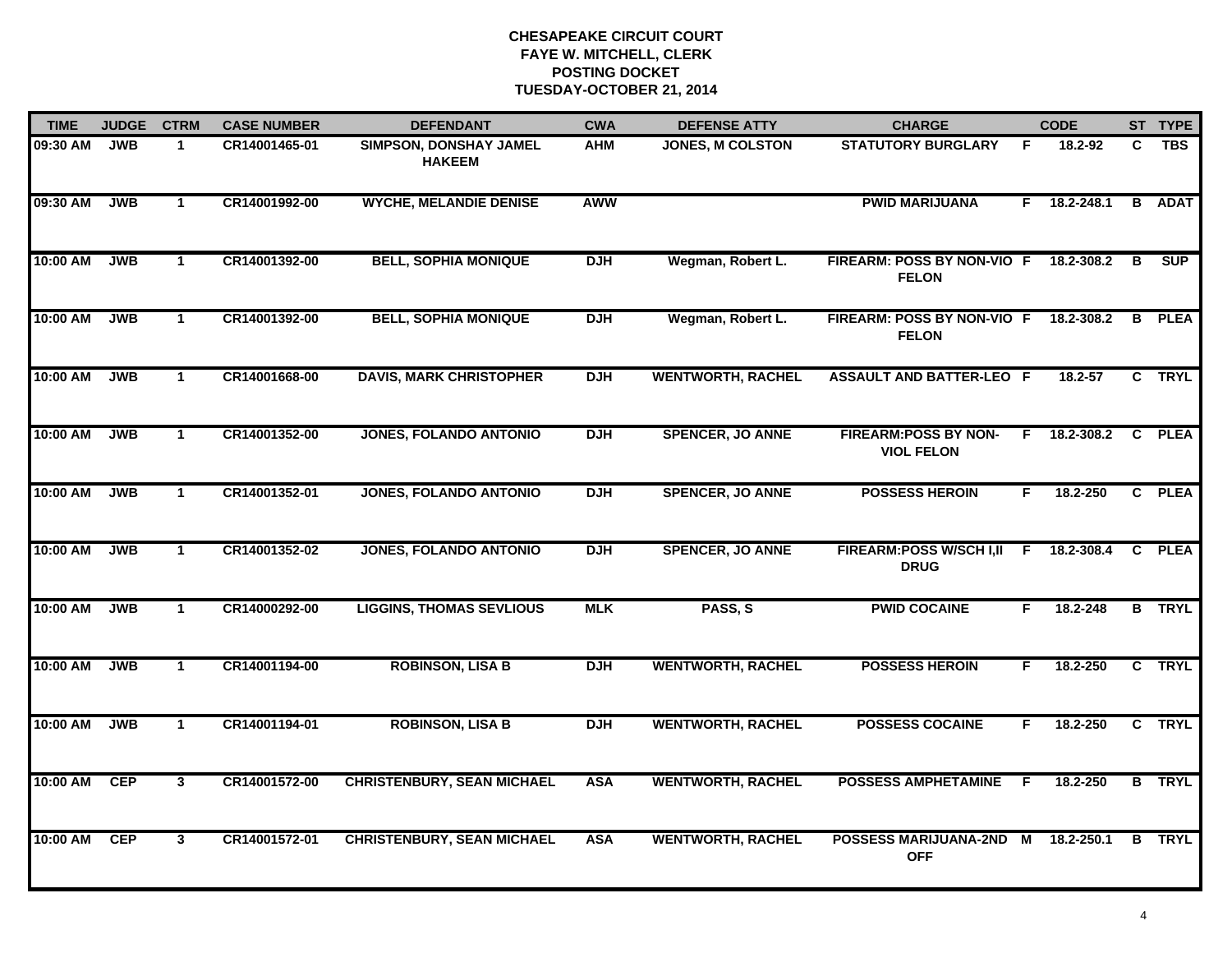| <b>TIME</b> | <b>JUDGE</b> | <b>CTRM</b>          | <b>CASE NUMBER</b> | <b>DEFENDANT</b>                        | <b>CWA</b> | <b>DEFENSE ATTY</b>      | <b>CHARGE</b>                                     |    | <b>CODE</b> |                | ST TYPE       |
|-------------|--------------|----------------------|--------------------|-----------------------------------------|------------|--------------------------|---------------------------------------------------|----|-------------|----------------|---------------|
| 09:30 AM    | <b>JWB</b>   | $\mathbf{1}$         | CR14001465-01      | SIMPSON, DONSHAY JAMEL<br><b>HAKEEM</b> | <b>AHM</b> | <b>JONES, M COLSTON</b>  | <b>STATUTORY BURGLARY</b>                         | F  | 18.2-92     | C.             | <b>TBS</b>    |
| 09:30 AM    | <b>JWB</b>   | $\mathbf{1}$         | CR14001992-00      | <b>WYCHE, MELANDIE DENISE</b>           | AWW        |                          | <b>PWID MARIJUANA</b>                             | F. | 18.2-248.1  | B              | <b>ADAT</b>   |
| 10:00 AM    | <b>JWB</b>   | $\blacktriangleleft$ | CR14001392-00      | <b>BELL, SOPHIA MONIQUE</b>             | <b>DJH</b> | Wegman, Robert L.        | <b>FIREARM: POSS BY NON-VIO F</b><br><b>FELON</b> |    | 18.2-308.2  | В              | <b>SUP</b>    |
| 10:00 AM    | <b>JWB</b>   | $\mathbf{1}$         | CR14001392-00      | <b>BELL, SOPHIA MONIQUE</b>             | <b>DJH</b> | Wegman, Robert L.        | FIREARM: POSS BY NON-VIO F<br><b>FELON</b>        |    | 18.2-308.2  | B              | <b>PLEA</b>   |
| 10:00 AM    | <b>JWB</b>   | $\mathbf{1}$         | CR14001668-00      | <b>DAVIS, MARK CHRISTOPHER</b>          | <b>DJH</b> | <b>WENTWORTH, RACHEL</b> | <b>ASSAULT AND BATTER-LEO F</b>                   |    | 18.2-57     |                | C TRYL        |
| 10:00 AM    | <b>JWB</b>   | $\blacktriangleleft$ | CR14001352-00      | <b>JONES, FOLANDO ANTONIO</b>           | <b>DJH</b> | <b>SPENCER, JO ANNE</b>  | <b>FIREARM:POSS BY NON-</b><br><b>VIOL FELON</b>  | F. | 18.2-308.2  | C              | <b>PLEA</b>   |
| 10:00 AM    | <b>JWB</b>   | $\mathbf{1}$         | CR14001352-01      | <b>JONES, FOLANDO ANTONIO</b>           | <b>DJH</b> | <b>SPENCER, JO ANNE</b>  | <b>POSSESS HEROIN</b>                             | F. | 18.2-250    | $\overline{c}$ | <b>PLEA</b>   |
| 10:00 AM    | <b>JWB</b>   | $\mathbf{1}$         | CR14001352-02      | <b>JONES, FOLANDO ANTONIO</b>           | <b>DJH</b> | <b>SPENCER, JO ANNE</b>  | <b>FIREARM:POSS W/SCH I,II</b><br><b>DRUG</b>     | F  | 18.2-308.4  | $\mathbf{c}$   | <b>PLEA</b>   |
| 10:00 AM    | <b>JWB</b>   | $\mathbf 1$          | CR14000292-00      | <b>LIGGINS, THOMAS SEVLIOUS</b>         | <b>MLK</b> | PASS, S                  | <b>PWID COCAINE</b>                               | F  | 18.2-248    |                | <b>B</b> TRYL |
| 10:00 AM    | <b>JWB</b>   | $\mathbf{1}$         | CR14001194-00      | <b>ROBINSON, LISA B</b>                 | <b>DJH</b> | <b>WENTWORTH, RACHEL</b> | <b>POSSESS HEROIN</b>                             | F  | 18.2-250    |                | C TRYL        |
| 10:00 AM    | <b>JWB</b>   | $\mathbf{1}$         | CR14001194-01      | <b>ROBINSON, LISA B</b>                 | <b>DJH</b> | <b>WENTWORTH, RACHEL</b> | <b>POSSESS COCAINE</b>                            | F. | 18.2-250    |                | C TRYL        |
| 10:00 AM    | CEP          | 3                    | CR14001572-00      | <b>CHRISTENBURY, SEAN MICHAEL</b>       | <b>ASA</b> | <b>WENTWORTH, RACHEL</b> | <b>POSSESS AMPHETAMINE</b>                        | F. | 18.2-250    |                | <b>B</b> TRYL |
| 10:00 AM    | <b>CEP</b>   | $\mathbf{3}$         | CR14001572-01      | <b>CHRISTENBURY, SEAN MICHAEL</b>       | <b>ASA</b> | <b>WENTWORTH, RACHEL</b> | POSSESS MARIJUANA-2ND M<br><b>OFF</b>             |    | 18.2-250.1  |                | <b>B</b> TRYL |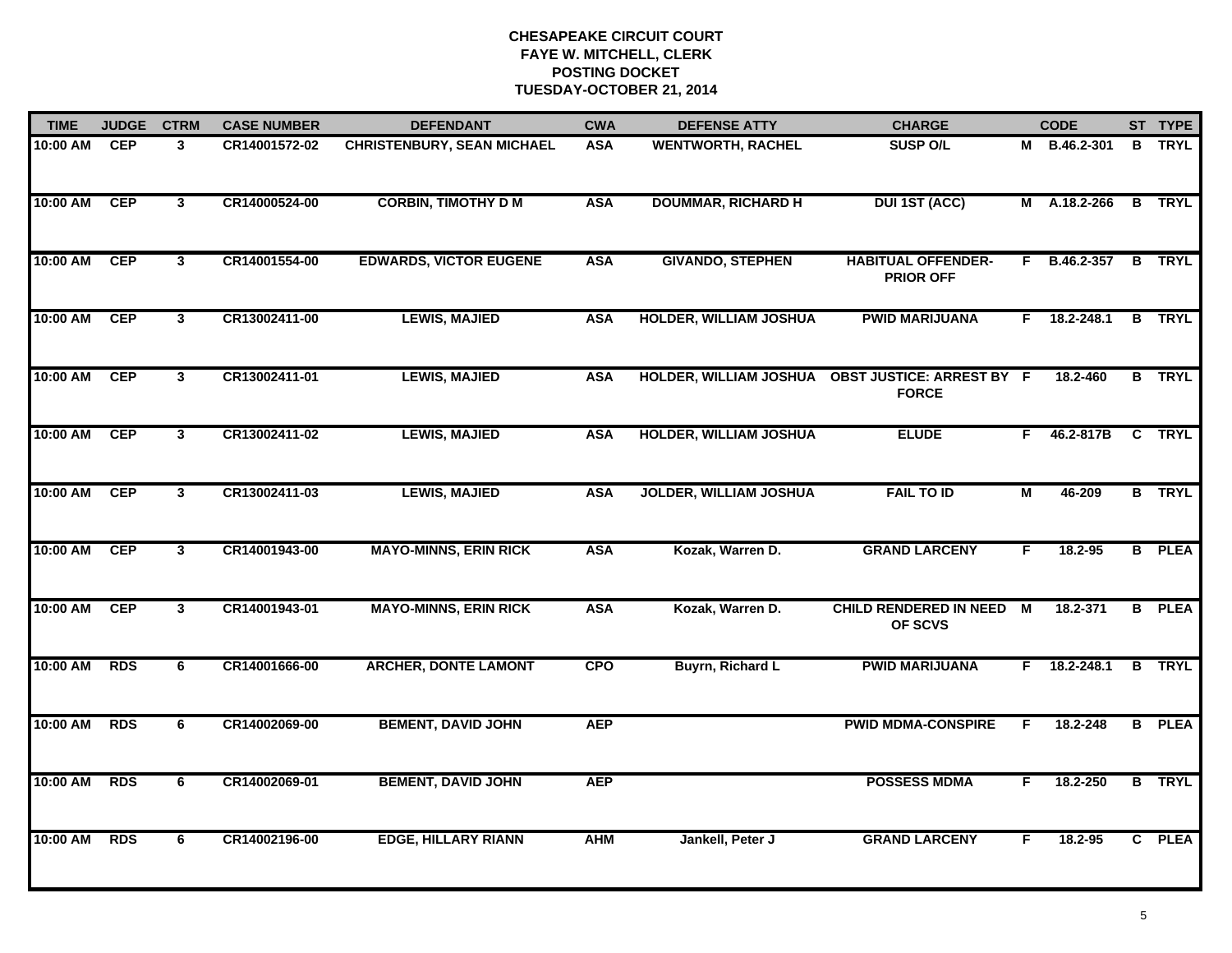| <b>TIME</b> | <b>JUDGE</b> | <b>CTRM</b>             | <b>CASE NUMBER</b> | <b>DEFENDANT</b>                  | <b>CWA</b> | <b>DEFENSE ATTY</b>           | <b>CHARGE</b>                                                     | <b>CODE</b>    |                | ST TYPE       |
|-------------|--------------|-------------------------|--------------------|-----------------------------------|------------|-------------------------------|-------------------------------------------------------------------|----------------|----------------|---------------|
| 10:00 AM    | <b>CEP</b>   | 3                       | CR14001572-02      | <b>CHRISTENBURY, SEAN MICHAEL</b> | <b>ASA</b> | <b>WENTWORTH, RACHEL</b>      | <b>SUSP O/L</b>                                                   |                | M B.46.2-301   | <b>B</b> TRYL |
| 10:00 AM    | <b>CEP</b>   | $\mathbf{3}$            | CR14000524-00      | <b>CORBIN, TIMOTHY D M</b>        | <b>ASA</b> | <b>DOUMMAR, RICHARD H</b>     | <b>DUI 1ST (ACC)</b>                                              |                | M A.18.2-266   | <b>B</b> TRYL |
| 10:00 AM    | <b>CEP</b>   | $\overline{3}$          | CR14001554-00      | <b>EDWARDS, VICTOR EUGENE</b>     | <b>ASA</b> | <b>GIVANDO, STEPHEN</b>       | <b>HABITUAL OFFENDER-</b><br><b>PRIOR OFF</b>                     |                | $F$ B.46.2-357 | <b>B</b> TRYL |
| 10:00 AM    | CEP          | $\mathbf{3}$            | CR13002411-00      | <b>LEWIS, MAJIED</b>              | <b>ASA</b> | <b>HOLDER, WILLIAM JOSHUA</b> | <b>PWID MARIJUANA</b>                                             | F.             | 18.2-248.1     | <b>B</b> TRYL |
| 10:00 AM    | <b>CEP</b>   | $\mathbf{3}$            | CR13002411-01      | <b>LEWIS, MAJIED</b>              | <b>ASA</b> |                               | HOLDER, WILLIAM JOSHUA  OBST JUSTICE: ARREST BY F<br><b>FORCE</b> |                | 18.2-460       | <b>B</b> TRYL |
| 10:00 AM    | <b>CEP</b>   | $\overline{\mathbf{3}}$ | CR13002411-02      | <b>LEWIS, MAJIED</b>              | <b>ASA</b> | <b>HOLDER, WILLIAM JOSHUA</b> | <b>ELUDE</b>                                                      |                | F 46.2-817B    | C TRYL        |
| 10:00 AM    | <b>CEP</b>   | 3                       | CR13002411-03      | <b>LEWIS, MAJIED</b>              | <b>ASA</b> | <b>JOLDER, WILLIAM JOSHUA</b> | <b>FAIL TO ID</b>                                                 | $\overline{M}$ | 46-209         | <b>B</b> TRYL |
| 10:00 AM    | <b>CEP</b>   | $\mathbf{3}$            | CR14001943-00      | <b>MAYO-MINNS, ERIN RICK</b>      | <b>ASA</b> | Kozak, Warren D.              | <b>GRAND LARCENY</b>                                              | F              | 18.2-95        | <b>B</b> PLEA |
| 10:00 AM    | <b>CEP</b>   | $\mathbf{3}$            | CR14001943-01      | <b>MAYO-MINNS, ERIN RICK</b>      | <b>ASA</b> | Kozak, Warren D.              | <b>CHILD RENDERED IN NEED</b><br>OF SCVS                          | M              | 18.2-371       | <b>B</b> PLEA |
| 10:00 AM    | <b>RDS</b>   | 6                       | CR14001666-00      | <b>ARCHER, DONTE LAMONT</b>       | <b>CPO</b> | <b>Buyrn, Richard L</b>       | <b>PWID MARIJUANA</b>                                             | F.             | 18.2-248.1     | <b>B</b> TRYL |
| 10:00 AM    | <b>RDS</b>   | 6                       | CR14002069-00      | <b>BEMENT, DAVID JOHN</b>         | <b>AEP</b> |                               | <b>PWID MDMA-CONSPIRE</b>                                         | F.             | 18.2-248       | <b>B</b> PLEA |
| 10:00 AM    | <b>RDS</b>   | 6                       | CR14002069-01      | <b>BEMENT, DAVID JOHN</b>         | <b>AEP</b> |                               | <b>POSSESS MDMA</b>                                               | F              | 18.2-250       | <b>B</b> TRYL |
| 10:00 AM    | <b>RDS</b>   | 6                       | CR14002196-00      | <b>EDGE, HILLARY RIANN</b>        | <b>AHM</b> | Jankell, Peter J              | <b>GRAND LARCENY</b>                                              | F              | 18.2-95        | C PLEA        |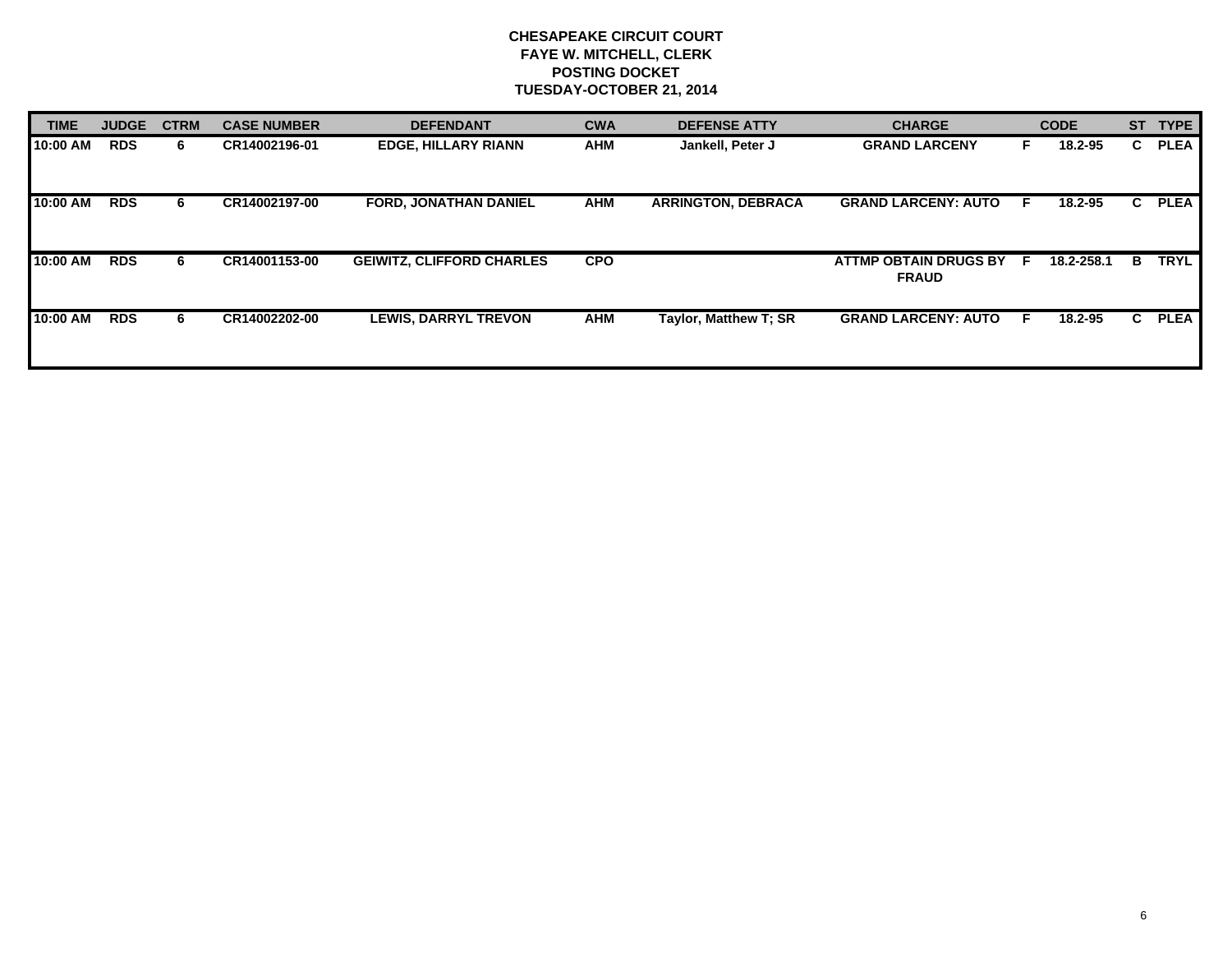| <b>TIME</b> | <b>JUDGE</b> | <b>CTRM</b> | <b>CASE NUMBER</b> | <b>DEFENDANT</b>                 | <b>CWA</b> | <b>DEFENSE ATTY</b>       | <b>CHARGE</b>                           |     | <b>CODE</b> | <b>ST</b> | <b>TYPE</b> |
|-------------|--------------|-------------|--------------------|----------------------------------|------------|---------------------------|-----------------------------------------|-----|-------------|-----------|-------------|
| 10:00 AM    | <b>RDS</b>   | 6.          | CR14002196-01      | <b>EDGE, HILLARY RIANN</b>       | <b>AHM</b> | Jankell, Peter J          | <b>GRAND LARCENY</b>                    |     | 18.2-95     | C.        | <b>PLEA</b> |
| 10:00 AM    | <b>RDS</b>   | 6           | CR14002197-00      | FORD, JONATHAN DANIEL            | AHM        | <b>ARRINGTON, DEBRACA</b> | <b>GRAND LARCENY: AUTO</b>              | - F | 18.2-95     | C.        | <b>PLEA</b> |
| 10:00 AM    | <b>RDS</b>   | 6           | CR14001153-00      | <b>GEIWITZ, CLIFFORD CHARLES</b> | <b>CPO</b> |                           | ATTMP OBTAIN DRUGS BY F<br><b>FRAUD</b> |     | 18.2-258.1  | B         | <b>TRYL</b> |
| 10:00 AM    | <b>RDS</b>   | 6           | CR14002202-00      | <b>LEWIS, DARRYL TREVON</b>      | AHM        | Taylor, Matthew T; SR     | <b>GRAND LARCENY: AUTO</b>              | -F  | 18.2-95     | C.        | <b>PLEA</b> |